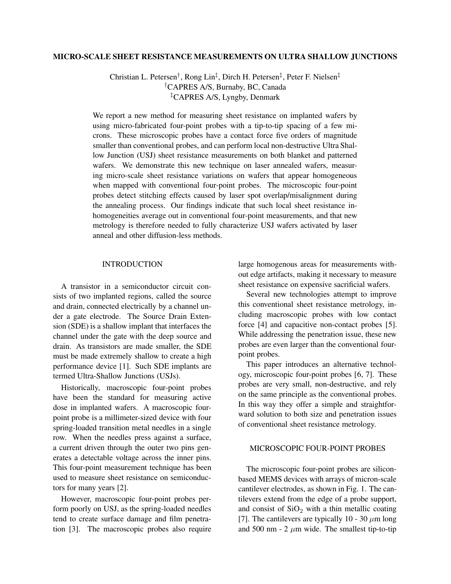## **MICRO-SCALE SHEET RESISTANCE MEASUREMENTS ON ULTRA SHALLOW JUNCTIONS**

Christian L. Petersen<sup>†</sup>, Rong Lin<sup>‡</sup>, Dirch H. Petersen<sup>‡</sup>, Peter F. Nielsen<sup>‡</sup> †CAPRES A/S, Burnaby, BC, Canada ‡CAPRES A/S, Lyngby, Denmark

We report a new method for measuring sheet resistance on implanted wafers by using micro-fabricated four-point probes with a tip-to-tip spacing of a few microns. These microscopic probes have a contact force five orders of magnitude smaller than conventional probes, and can perform local non-destructive Ultra Shallow Junction (USJ) sheet resistance measurements on both blanket and patterned wafers. We demonstrate this new technique on laser annealed wafers, measuring micro-scale sheet resistance variations on wafers that appear homogeneous when mapped with conventional four-point probes. The microscopic four-point probes detect stitching effects caused by laser spot overlap/misalignment during the annealing process. Our findings indicate that such local sheet resistance inhomogeneities average out in conventional four-point measurements, and that new metrology is therefore needed to fully characterize USJ wafers activated by laser anneal and other diffusion-less methods.

## INTRODUCTION

A transistor in a semiconductor circuit consists of two implanted regions, called the source and drain, connected electrically by a channel under a gate electrode. The Source Drain Extension (SDE) is a shallow implant that interfaces the channel under the gate with the deep source and drain. As transistors are made smaller, the SDE must be made extremely shallow to create a high performance device [\[1\]](#page-4-0). Such SDE implants are termed Ultra-Shallow Junctions (USJs).

Historically, macroscopic four-point probes have been the standard for measuring active dose in implanted wafers. A macroscopic fourpoint probe is a millimeter-sized device with four spring-loaded transition metal needles in a single row. When the needles press against a surface, a current driven through the outer two pins generates a detectable voltage across the inner pins. This four-point measurement technique has been used to measure sheet resistance on semiconductors for many years [\[2\]](#page-4-1).

However, macroscopic four-point probes perform poorly on USJ, as the spring-loaded needles tend to create surface damage and film penetration [\[3\]](#page-4-2). The macroscopic probes also require large homogenous areas for measurements without edge artifacts, making it necessary to measure sheet resistance on expensive sacrificial wafers.

Several new technologies attempt to improve this conventional sheet resistance metrology, including macroscopic probes with low contact force [\[4\]](#page-4-3) and capacitive non-contact probes [\[5\]](#page-5-0). While addressing the penetration issue, these new probes are even larger than the conventional fourpoint probes.

This paper introduces an alternative technology, microscopic four-point probes [\[6,](#page-5-1) [7\]](#page-5-2). These probes are very small, non-destructive, and rely on the same principle as the conventional probes. In this way they offer a simple and straightforward solution to both size and penetration issues of conventional sheet resistance metrology.

## MICROSCOPIC FOUR-POINT PROBES

The microscopic four-point probes are siliconbased MEMS devices with arrays of micron-scale cantilever electrodes, as shown in Fig. [1.](#page-1-0) The cantilevers extend from the edge of a probe support, and consist of  $SiO<sub>2</sub>$  with a thin metallic coating [\[7\]](#page-5-2). The cantilevers are typically 10 - 30  $\mu$ m long and 500 nm - 2  $\mu$ m wide. The smallest tip-to-tip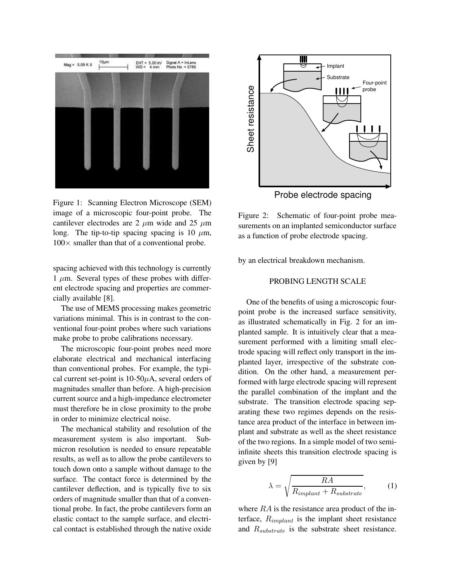

<span id="page-1-0"></span>Figure 1: Scanning Electron Microscope (SEM) image of a microscopic four-point probe. The cantilever electrodes are 2  $\mu$ m wide and 25  $\mu$ m long. The tip-to-tip spacing spacing is 10  $\mu$ m,  $100\times$  smaller than that of a conventional probe.

spacing achieved with this technology is currently  $1 \mu m$ . Several types of these probes with different electrode spacing and properties are commercially available [\[8\]](#page-5-3).

The use of MEMS processing makes geometric variations minimal. This is in contrast to the conventional four-point probes where such variations make probe to probe calibrations necessary.

The microscopic four-point probes need more elaborate electrical and mechanical interfacing than conventional probes. For example, the typical current set-point is  $10-50\mu A$ , several orders of magnitudes smaller than before. A high-precision current source and a high-impedance electrometer must therefore be in close proximity to the probe in order to minimize electrical noise.

The mechanical stability and resolution of the measurement system is also important. Submicron resolution is needed to ensure repeatable results, as well as to allow the probe cantilevers to touch down onto a sample without damage to the surface. The contact force is determined by the cantilever deflection, and is typically five to six orders of magnitude smaller than that of a conventional probe. In fact, the probe cantilevers form an elastic contact to the sample surface, and electrical contact is established through the native oxide



<span id="page-1-1"></span>Figure 2: Schematic of four-point probe measurements on an implanted semiconductor surface as a function of probe electrode spacing.

by an electrical breakdown mechanism.

# PROBING LENGTH SCALE

One of the benefits of using a microscopic fourpoint probe is the increased surface sensitivity, as illustrated schematically in Fig. [2](#page-1-1) for an implanted sample. It is intuitively clear that a measurement performed with a limiting small electrode spacing will reflect only transport in the implanted layer, irrespective of the substrate condition. On the other hand, a measurement performed with large electrode spacing will represent the parallel combination of the implant and the substrate. The transition electrode spacing separating these two regimes depends on the resistance area product of the interface in between implant and substrate as well as the sheet resistance of the two regions. In a simple model of two semiinfinite sheets this transition electrode spacing is given by [\[9\]](#page-5-4)

$$
\lambda = \sqrt{\frac{RA}{R_{implant} + R_{substrate}}},\tag{1}
$$

<span id="page-1-2"></span>where RA is the resistance area product of the interface,  $R_{implant}$  is the implant sheet resistance and  $R_{substrate}$  is the substrate sheet resistance.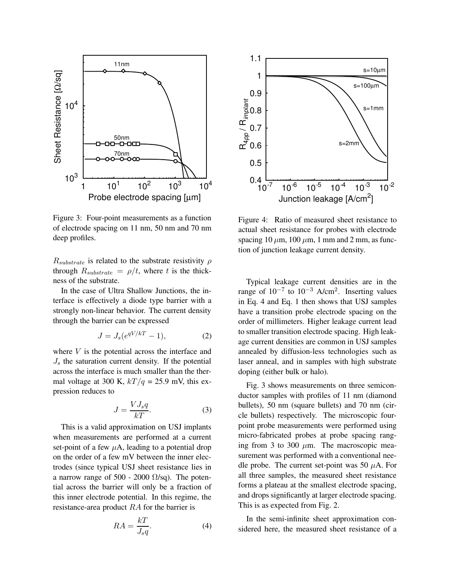

<span id="page-2-1"></span>Figure 3: Four-point measurements as a function of electrode spacing on 11 nm, 50 nm and 70 nm deep profiles.

 $R_{substrate}$  is related to the substrate resistivity  $\rho$ through  $R_{substrate} = \rho/t$ , where t is the thickness of the substrate.

In the case of Ultra Shallow Junctions, the interface is effectively a diode type barrier with a strongly non-linear behavior. The current density through the barrier can be expressed

$$
J = J_s(e^{qV/kT} - 1),\tag{2}
$$

where  $V$  is the potential across the interface and  $J<sub>s</sub>$  the saturation current density. If the potential across the interface is much smaller than the thermal voltage at 300 K,  $kT/q = 25.9$  mV, this expression reduces to

$$
J = \frac{V J_s q}{kT}.
$$
 (3)

This is a valid approximation on USJ implants when measurements are performed at a current set-point of a few  $\mu$ A, leading to a potential drop on the order of a few mV between the inner electrodes (since typical USJ sheet resistance lies in a narrow range of 500 - 2000  $\Omega$ /sq). The potential across the barrier will only be a fraction of this inner electrode potential. In this regime, the resistance-area product RA for the barrier is

<span id="page-2-0"></span>
$$
RA = \frac{kT}{J_s q}.\tag{4}
$$



<span id="page-2-2"></span>Figure 4: Ratio of measured sheet resistance to actual sheet resistance for probes with electrode spacing 10  $\mu$ m, 100  $\mu$ m, 1 mm and 2 mm, as function of junction leakage current density.

Typical leakage current densities are in the range of  $10^{-7}$  to  $10^{-3}$  A/cm<sup>2</sup>. Inserting values in Eq. [4](#page-2-0) and Eq. [1](#page-1-2) then shows that USJ samples have a transition probe electrode spacing on the order of millimeters. Higher leakage current lead to smaller transition electrode spacing. High leakage current densities are common in USJ samples annealed by diffusion-less technologies such as laser anneal, and in samples with high substrate doping (either bulk or halo).

Fig. [3](#page-2-1) shows measurements on three semiconductor samples with profiles of 11 nm (diamond bullets), 50 nm (square bullets) and 70 nm (circle bullets) respectively. The microscopic fourpoint probe measurements were performed using micro-fabricated probes at probe spacing ranging from 3 to 300  $\mu$ m. The macroscopic measurement was performed with a conventional needle probe. The current set-point was 50  $\mu$ A. For all three samples, the measured sheet resistance forms a plateau at the smallest electrode spacing, and drops significantly at larger electrode spacing. This is as expected from Fig. [2.](#page-1-1)

In the semi-infinite sheet approximation considered here, the measured sheet resistance of a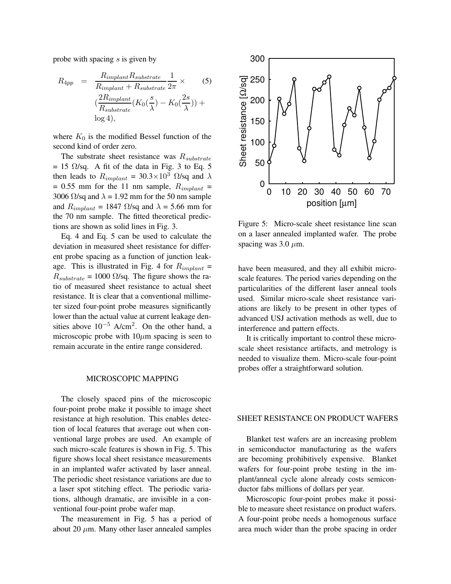<span id="page-3-0"></span>probe with spacing s is given by

$$
R_{4pp} = \frac{R_{implant} R_{substrate}}{R_{implant} + R_{substrate}} \frac{1}{2\pi} \times
$$
 (5)  

$$
(\frac{2R_{implant}}{R_{substrate}} (K_0(\frac{s}{\lambda}) - K_0(\frac{2s}{\lambda})) +
$$
  

$$
\log 4),
$$

where  $K_0$  is the modified Bessel function of the second kind of order zero.

The substrate sheet resistance was  $R_{substrate}$  $= 15$  $= 15$   $\Omega$ /sq. A fit of the data in Fig. [3](#page-2-1) to Eq. 5 then leads to  $R_{implant} = 30.3 \times 10^3$   $\Omega$ /sq and  $\lambda$ = 0.55 mm for the 11 nm sample,  $R_{implant}$  = 3006  $\Omega$ /sq and  $\lambda = 1.92$  mm for the 50 nm sample and  $R_{implant} = 1847 \Omega/\text{sq}$  and  $\lambda = 5.66 \text{ mm}$  for the 70 nm sample. The fitted theoretical predictions are shown as solid lines in Fig. [3.](#page-2-1)

Eq. [4](#page-2-0) and Eq. [5](#page-3-0) can be used to calculate the deviation in measured sheet resistance for different probe spacing as a function of junction leak-age. This is illustrated in Fig. [4](#page-2-2) for  $R_{implant}$  =  $R_{substrate}$  = 1000  $\Omega$ /sq. The figure shows the ratio of measured sheet resistance to actual sheet resistance. It is clear that a conventional millimeter sized four-point probe measures significantly lower than the actual value at current leakage densities above  $10^{-5}$  A/cm<sup>2</sup>. On the other hand, a microscopic probe with  $10\mu$ m spacing is seen to remain accurate in the entire range considered.

#### MICROSCOPIC MAPPING

The closely spaced pins of the microscopic four-point probe make it possible to image sheet resistance at high resolution. This enables detection of local features that average out when conventional large probes are used. An example of such micro-scale features is shown in Fig. [5.](#page-3-1) This figure shows local sheet resistance measurements in an implanted wafer activated by laser anneal. The periodic sheet resistance variations are due to a laser spot stitching effect. The periodic variations, although dramatic, are invisible in a conventional four-point probe wafer map.

The measurement in Fig. [5](#page-3-1) has a period of about 20  $\mu$ m. Many other laser annealed samples



<span id="page-3-1"></span>Figure 5: Micro-scale sheet resistance line scan on a laser annealed implanted wafer. The probe spacing was 3.0  $\mu$ m.

have been measured, and they all exhibit microscale features. The period varies depending on the particularities of the different laser anneal tools used. Similar micro-scale sheet resistance variations are likely to be present in other types of advanced USJ activation methods as well, due to interference and pattern effects.

It is critically important to control these microscale sheet resistance artifacts, and metrology is needed to visualize them. Micro-scale four-point probes offer a straightforward solution.

## SHEET RESISTANCE ON PRODUCT WAFERS

Blanket test wafers are an increasing problem in semiconductor manufacturing as the wafers are becoming prohibitively expensive. Blanket wafers for four-point probe testing in the implant/anneal cycle alone already costs semiconductor fabs millions of dollars per year.

Microscopic four-point probes make it possible to measure sheet resistance on product wafers. A four-point probe needs a homogenous surface area much wider than the probe spacing in order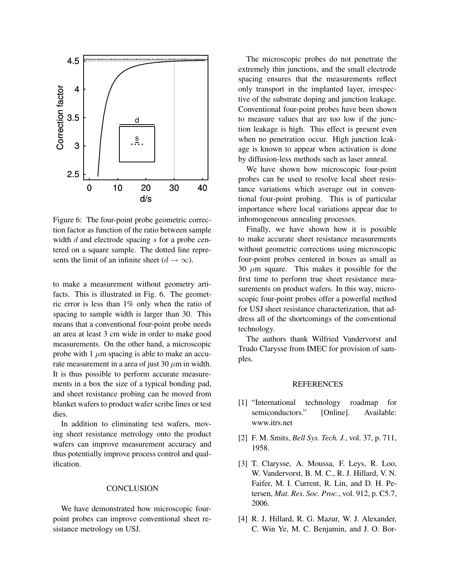

<span id="page-4-4"></span>Figure 6: The four-point probe geometric correction factor as function of the ratio between sample width  $d$  and electrode spacing  $s$  for a probe centered on a square sample. The dotted line represents the limit of an infinite sheet  $(d \rightarrow \infty)$ .

to make a measurement without geometry artifacts. This is illustrated in Fig. [6.](#page-4-4) The geometric error is less than 1% only when the ratio of spacing to sample width is larger than 30. This means that a conventional four-point probe needs an area at least 3 cm wide in order to make good measurements. On the other hand, a microscopic probe with 1  $\mu$ m spacing is able to make an accurate measurement in a area of just 30  $\mu$ m in width. It is thus possible to perform accurate measurements in a box the size of a typical bonding pad, and sheet resistance probing can be moved from blanket wafers to product wafer scribe lines or test dies.

In addition to eliminating test wafers, moving sheet resistance metrology onto the product wafers can improve measurement accuracy and thus potentially improve process control and qualification.

#### **CONCLUSION**

We have demonstrated how microscopic fourpoint probes can improve conventional sheet resistance metrology on USJ.

The microscopic probes do not penetrate the extremely thin junctions, and the small electrode spacing ensures that the measurements reflect only transport in the implanted layer, irrespective of the substrate doping and junction leakage. Conventional four-point probes have been shown to measure values that are too low if the junction leakage is high. This effect is present even when no penetration occur. High junction leakage is known to appear when activation is done by diffusion-less methods such as laser anneal.

We have shown how microscopic four-point probes can be used to resolve local sheet resistance variations which average out in conventional four-point probing. This is of particular importance where local variations appear due to inhomogeneous annealing processes.

Finally, we have shown how it is possible to make accurate sheet resistance measurements without geometric corrections using microscopic four-point probes centered in boxes as small as 30  $\mu$ m square. This makes it possible for the first time to perform true sheet resistance measurements on product wafers. In this way, microscopic four-point probes offer a powerful method for USJ sheet resistance characterization, that address all of the shortcomings of the conventional technology.

The authors thank Wilfried Vandervorst and Trudo Clarysse from IMEC for provision of samples.

### REFERENCES

- <span id="page-4-0"></span>[1] "International technology roadmap for semiconductors." [Online]. Available: <www.itrs.net>
- <span id="page-4-2"></span><span id="page-4-1"></span>[2] F. M. Smits, *Bell Sys. Tech. J.*, vol. 37, p. 711, 1958.
- [3] T. Clarysse, A. Moussa, F. Leys, R. Loo, W. Vandervorst, B. M. C., R. J. Hillard, V. N. Faifer, M. I. Current, R. Lin, and D. H. Petersen, *Mat. Res. Soc. Proc.*, vol. 912, p. C5.7, 2006.
- <span id="page-4-3"></span>[4] R. J. Hillard, R. G. Mazur, W. J. Alexander, C. Win Ye, M. C. Benjamin, and J. O. Bor-